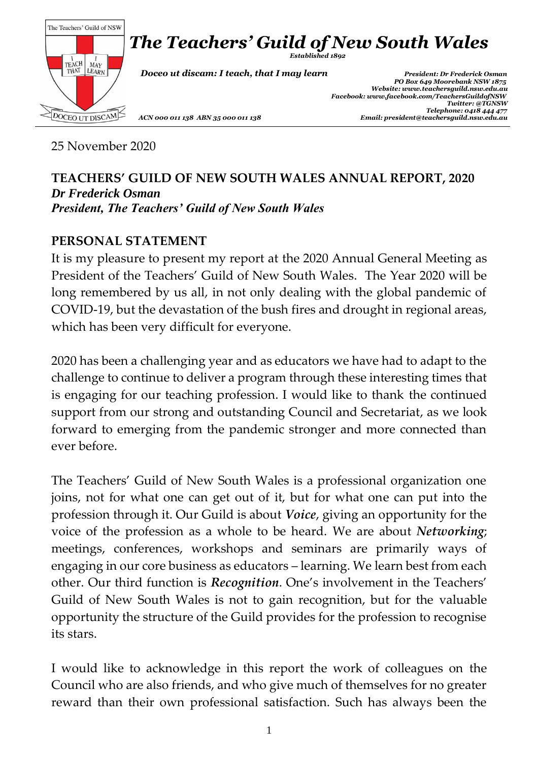

25 November 2020

#### **TEACHERS' GUILD OF NEW SOUTH WALES ANNUAL REPORT, 2020** *Dr Frederick Osman President, The Teachers' Guild of New South Wales*

#### **PERSONAL STATEMENT**

It is my pleasure to present my report at the 2020 Annual General Meeting as President of the Teachers' Guild of New South Wales. The Year 2020 will be long remembered by us all, in not only dealing with the global pandemic of COVID-19, but the devastation of the bush fires and drought in regional areas, which has been very difficult for everyone.

2020 has been a challenging year and as educators we have had to adapt to the challenge to continue to deliver a program through these interesting times that is engaging for our teaching profession. I would like to thank the continued support from our strong and outstanding Council and Secretariat, as we look forward to emerging from the pandemic stronger and more connected than ever before.

The Teachers' Guild of New South Wales is a professional organization one joins, not for what one can get out of it, but for what one can put into the profession through it. Our Guild is about *Voice*, giving an opportunity for the voice of the profession as a whole to be heard. We are about *Networking*; meetings, conferences, workshops and seminars are primarily ways of engaging in our core business as educators – learning. We learn best from each other. Our third function is *Recognition*. One's involvement in the Teachers' Guild of New South Wales is not to gain recognition, but for the valuable opportunity the structure of the Guild provides for the profession to recognise its stars.

I would like to acknowledge in this report the work of colleagues on the Council who are also friends, and who give much of themselves for no greater reward than their own professional satisfaction. Such has always been the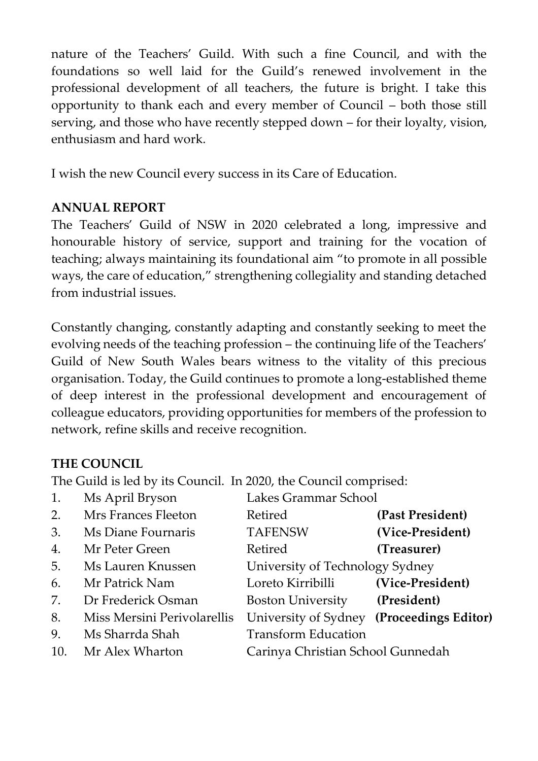nature of the Teachers' Guild. With such a fine Council, and with the foundations so well laid for the Guild's renewed involvement in the professional development of all teachers, the future is bright. I take this opportunity to thank each and every member of Council – both those still serving, and those who have recently stepped down – for their loyalty, vision, enthusiasm and hard work.

I wish the new Council every success in its Care of Education.

#### **ANNUAL REPORT**

The Teachers' Guild of NSW in 2020 celebrated a long, impressive and honourable history of service, support and training for the vocation of teaching; always maintaining its foundational aim "to promote in all possible ways, the care of education," strengthening collegiality and standing detached from industrial issues.

Constantly changing, constantly adapting and constantly seeking to meet the evolving needs of the teaching profession – the continuing life of the Teachers' Guild of New South Wales bears witness to the vitality of this precious organisation. Today, the Guild continues to promote a long-established theme of deep interest in the professional development and encouragement of colleague educators, providing opportunities for members of the profession to network, refine skills and receive recognition.

#### **THE COUNCIL**

The Guild is led by its Council. In 2020, the Council comprised:

| 1.  | Ms April Bryson             | Lakes Grammar School                 |                      |
|-----|-----------------------------|--------------------------------------|----------------------|
| 2.  | Mrs Frances Fleeton         | Retired                              | (Past President)     |
| 3.  | Ms Diane Fournaris          | <b>TAFENSW</b>                       | (Vice-President)     |
| 4.  | Mr Peter Green              | Retired                              | (Treasurer)          |
| 5.  | Ms Lauren Knussen           | University of Technology Sydney      |                      |
| 6.  | Mr Patrick Nam              | Loreto Kirribilli                    | (Vice-President)     |
| 7.  | Dr Frederick Osman          | <b>Boston University</b> (President) |                      |
| 8.  | Miss Mersini Perivolarellis | University of Sydney                 | (Proceedings Editor) |
| 9.  | Ms Sharrda Shah             | <b>Transform Education</b>           |                      |
| 10. | Mr Alex Wharton             | Carinya Christian School Gunnedah    |                      |
|     |                             |                                      |                      |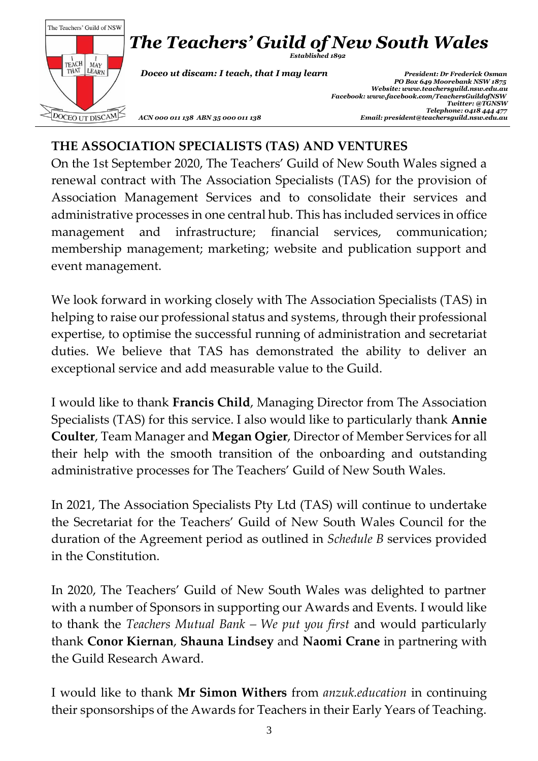

### **THE ASSOCIATION SPECIALISTS (TAS) AND VENTURES**

On the 1st September 2020, The Teachers' Guild of New South Wales signed a renewal contract with The Association Specialists (TAS) for the provision of Association Management Services and to consolidate their services and administrative processes in one central hub. This has included services in office management and infrastructure; financial services, communication; membership management; marketing; website and publication support and event management.

We look forward in working closely with The Association Specialists (TAS) in helping to raise our professional status and systems, through their professional expertise, to optimise the successful running of administration and secretariat duties. We believe that TAS has demonstrated the ability to deliver an exceptional service and add measurable value to the Guild.

I would like to thank **Francis Child**, Managing Director from The Association Specialists (TAS) for this service. I also would like to particularly thank **Annie Coulter**, Team Manager and **Megan Ogier**, Director of Member Services for all their help with the smooth transition of the onboarding and outstanding administrative processes for The Teachers' Guild of New South Wales.

In 2021, The Association Specialists Pty Ltd (TAS) will continue to undertake the Secretariat for the Teachers' Guild of New South Wales Council for the duration of the Agreement period as outlined in *Schedule B* services provided in the Constitution.

In 2020, The Teachers' Guild of New South Wales was delighted to partner with a number of Sponsors in supporting our Awards and Events. I would like to thank the *Teachers Mutual Bank – We put you first* and would particularly thank **Conor Kiernan**, **Shauna Lindsey** and **Naomi Crane** in partnering with the Guild Research Award.

I would like to thank **Mr Simon Withers** from *anzuk.education* in continuing their sponsorships of the Awards for Teachers in their Early Years of Teaching.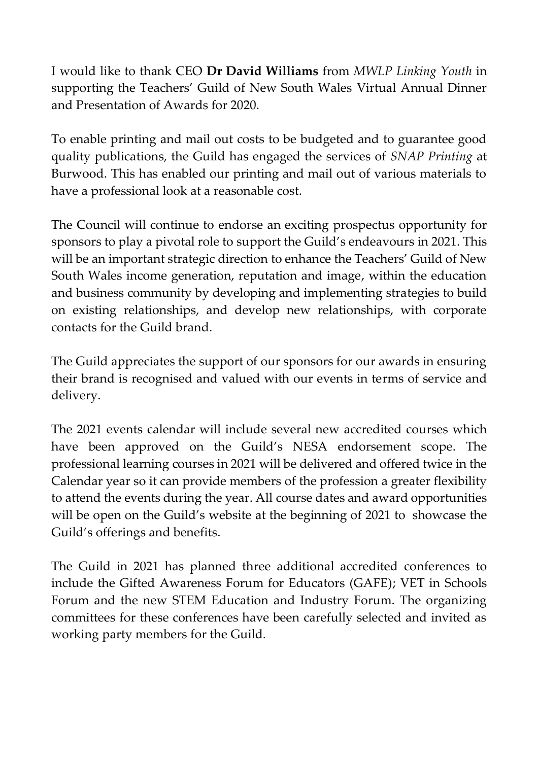I would like to thank CEO **Dr David Williams** from *MWLP Linking Youth* in supporting the Teachers' Guild of New South Wales Virtual Annual Dinner and Presentation of Awards for 2020.

To enable printing and mail out costs to be budgeted and to guarantee good quality publications, the Guild has engaged the services of *SNAP Printing* at Burwood. This has enabled our printing and mail out of various materials to have a professional look at a reasonable cost.

The Council will continue to endorse an exciting prospectus opportunity for sponsors to play a pivotal role to support the Guild's endeavours in 2021. This will be an important strategic direction to enhance the Teachers' Guild of New South Wales income generation, reputation and image, within the education and business community by developing and implementing strategies to build on existing relationships, and develop new relationships, with corporate contacts for the Guild brand.

The Guild appreciates the support of our sponsors for our awards in ensuring their brand is recognised and valued with our events in terms of service and delivery.

The 2021 events calendar will include several new accredited courses which have been approved on the Guild's NESA endorsement scope. The professional learning courses in 2021 will be delivered and offered twice in the Calendar year so it can provide members of the profession a greater flexibility to attend the events during the year. All course dates and award opportunities will be open on the Guild's website at the beginning of 2021 to showcase the Guild's offerings and benefits.

The Guild in 2021 has planned three additional accredited conferences to include the Gifted Awareness Forum for Educators (GAFE); VET in Schools Forum and the new STEM Education and Industry Forum. The organizing committees for these conferences have been carefully selected and invited as working party members for the Guild.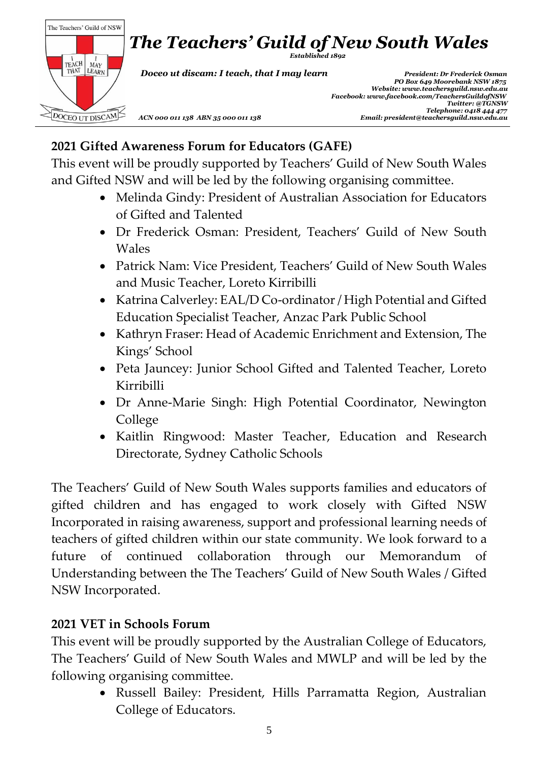

## **2021 Gifted Awareness Forum for Educators (GAFE)**

This event will be proudly supported by Teachers' Guild of New South Wales and Gifted NSW and will be led by the following organising committee.

- Melinda Gindy: President of Australian Association for Educators of Gifted and Talented
- Dr Frederick Osman: President, Teachers' Guild of New South Wales
- Patrick Nam: Vice President, Teachers' Guild of New South Wales and Music Teacher, Loreto Kirribilli
- Katrina Calverley: EAL/D Co-ordinator / High Potential and Gifted Education Specialist Teacher, Anzac Park Public School
- Kathryn Fraser: Head of Academic Enrichment and Extension, The Kings' School
- Peta Jauncey: Junior School Gifted and Talented Teacher, Loreto Kirribilli
- Dr Anne-Marie Singh: High Potential Coordinator, Newington College
- Kaitlin Ringwood: Master Teacher, Education and Research Directorate, Sydney Catholic Schools

The Teachers' Guild of New South Wales supports families and educators of gifted children and has engaged to work closely with Gifted NSW Incorporated in raising awareness, support and professional learning needs of teachers of gifted children within our state community. We look forward to a future of continued collaboration through our Memorandum of Understanding between the The Teachers' Guild of New South Wales / Gifted NSW Incorporated.

#### **2021 VET in Schools Forum**

This event will be proudly supported by the Australian College of Educators, The Teachers' Guild of New South Wales and MWLP and will be led by the following organising committee.

> • Russell Bailey: President, Hills Parramatta Region, Australian College of Educators.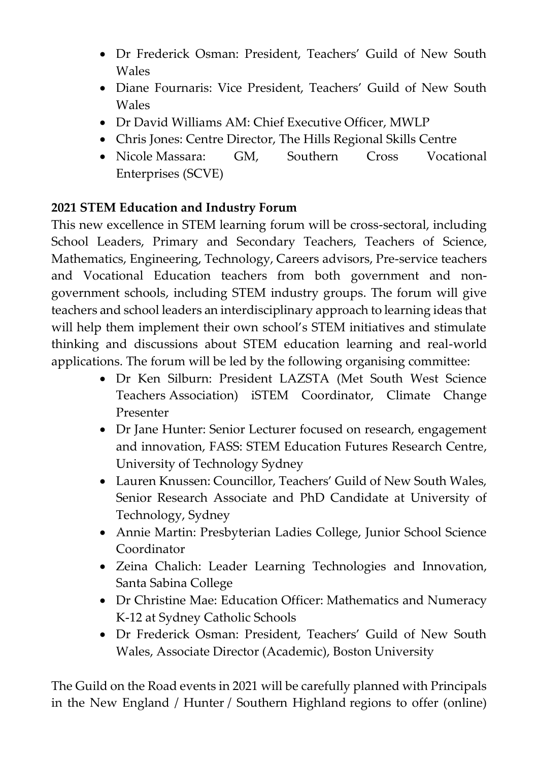- Dr Frederick Osman: President, Teachers' Guild of New South Wales
- Diane Fournaris: Vice President, Teachers' Guild of New South Wales
- Dr David Williams AM: Chief Executive Officer, MWLP
- Chris Jones: Centre Director, The Hills Regional Skills Centre
- Nicole Massara: GM, Southern Cross Vocational Enterprises (SCVE)

## **2021 STEM Education and Industry Forum**

This new excellence in STEM learning forum will be cross-sectoral, including School Leaders, Primary and Secondary Teachers, Teachers of Science, Mathematics, Engineering, Technology, Careers advisors, Pre-service teachers and Vocational Education teachers from both government and nongovernment schools, including STEM industry groups. The forum will give teachers and school leaders an interdisciplinary approach to learning ideas that will help them implement their own school's STEM initiatives and stimulate thinking and discussions about STEM education learning and real-world applications. The forum will be led by the following organising committee:

- Dr Ken Silburn: President LAZSTA (Met South West Science Teachers Association) iSTEM Coordinator, Climate Change Presenter
- Dr Jane Hunter: Senior Lecturer focused on research, engagement and innovation, FASS: STEM Education Futures Research Centre, University of Technology Sydney
- Lauren Knussen: Councillor, Teachers' Guild of New South Wales, Senior Research Associate and PhD Candidate at University of Technology, Sydney
- Annie Martin: Presbyterian Ladies College, Junior School Science Coordinator
- Zeina Chalich: Leader Learning Technologies and Innovation, Santa Sabina College
- Dr Christine Mae: Education Officer: Mathematics and Numeracy K-12 at Sydney Catholic Schools
- Dr Frederick Osman: President, Teachers' Guild of New South Wales, Associate Director (Academic), Boston University

The Guild on the Road events in 2021 will be carefully planned with Principals in the New England / Hunter / Southern Highland regions to offer (online)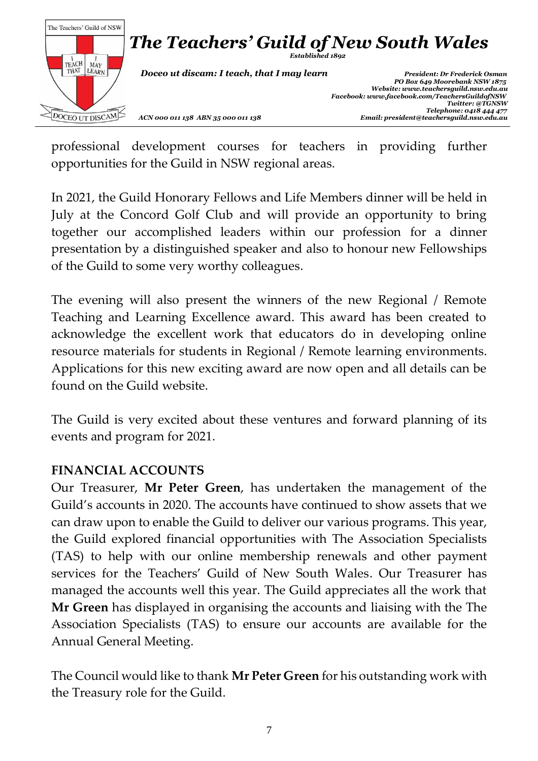

professional development courses for teachers in providing further opportunities for the Guild in NSW regional areas.

In 2021, the Guild Honorary Fellows and Life Members dinner will be held in July at the Concord Golf Club and will provide an opportunity to bring together our accomplished leaders within our profession for a dinner presentation by a distinguished speaker and also to honour new Fellowships of the Guild to some very worthy colleagues.

The evening will also present the winners of the new Regional / Remote Teaching and Learning Excellence award. This award has been created to acknowledge the excellent work that educators do in developing online resource materials for students in Regional / Remote learning environments. Applications for this new exciting award are now open and all details can be found on the Guild website.

The Guild is very excited about these ventures and forward planning of its events and program for 2021.

#### **FINANCIAL ACCOUNTS**

Our Treasurer, **Mr Peter Green**, has undertaken the management of the Guild's accounts in 2020. The accounts have continued to show assets that we can draw upon to enable the Guild to deliver our various programs. This year, the Guild explored financial opportunities with The Association Specialists (TAS) to help with our online membership renewals and other payment services for the Teachers' Guild of New South Wales. Our Treasurer has managed the accounts well this year. The Guild appreciates all the work that **Mr Green** has displayed in organising the accounts and liaising with the The Association Specialists (TAS) to ensure our accounts are available for the Annual General Meeting.

The Council would like to thank **Mr Peter Green** for his outstanding work with the Treasury role for the Guild.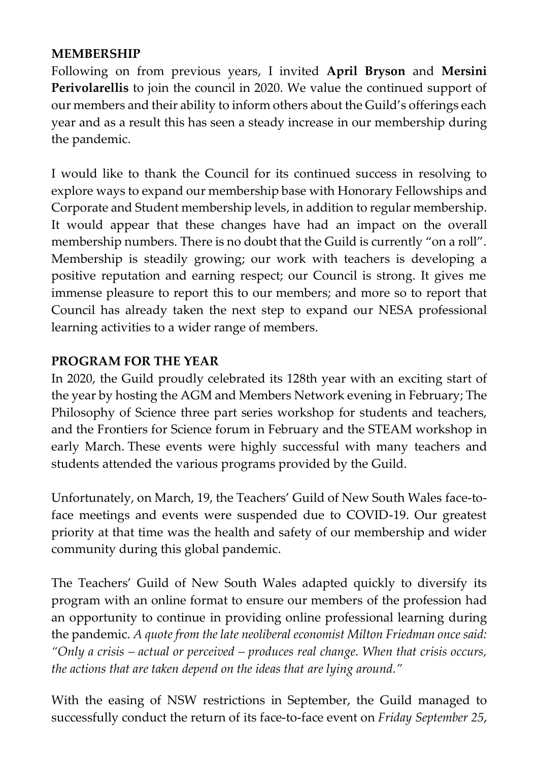#### **MEMBERSHIP**

Following on from previous years, I invited **April Bryson** and **Mersini Perivolarellis** to join the council in 2020. We value the continued support of our members and their ability to inform others about the Guild's offerings each year and as a result this has seen a steady increase in our membership during the pandemic.

I would like to thank the Council for its continued success in resolving to explore ways to expand our membership base with Honorary Fellowships and Corporate and Student membership levels, in addition to regular membership. It would appear that these changes have had an impact on the overall membership numbers. There is no doubt that the Guild is currently "on a roll". Membership is steadily growing; our work with teachers is developing a positive reputation and earning respect; our Council is strong. It gives me immense pleasure to report this to our members; and more so to report that Council has already taken the next step to expand our NESA professional learning activities to a wider range of members.

### **PROGRAM FOR THE YEAR**

In 2020, the Guild proudly celebrated its 128th year with an exciting start of the year by hosting the AGM and Members Network evening in February; The Philosophy of Science three part series workshop for students and teachers, and the Frontiers for Science forum in February and the STEAM workshop in early March. These events were highly successful with many teachers and students attended the various programs provided by the Guild.

Unfortunately, on March, 19, the Teachers' Guild of New South Wales face-toface meetings and events were suspended due to COVID-19. Our greatest priority at that time was the health and safety of our membership and wider community during this global pandemic.

The Teachers' Guild of New South Wales adapted quickly to diversify its program with an online format to ensure our members of the profession had an opportunity to continue in providing online professional learning during the pandemic. *A quote from the late neoliberal economist Milton Friedman once said: "Only a crisis – actual or perceived – produces real change. When that crisis occurs, the actions that are taken depend on the ideas that are lying around."*

With the easing of NSW restrictions in September, the Guild managed to successfully conduct the return of its face-to-face event on *Friday September 25*,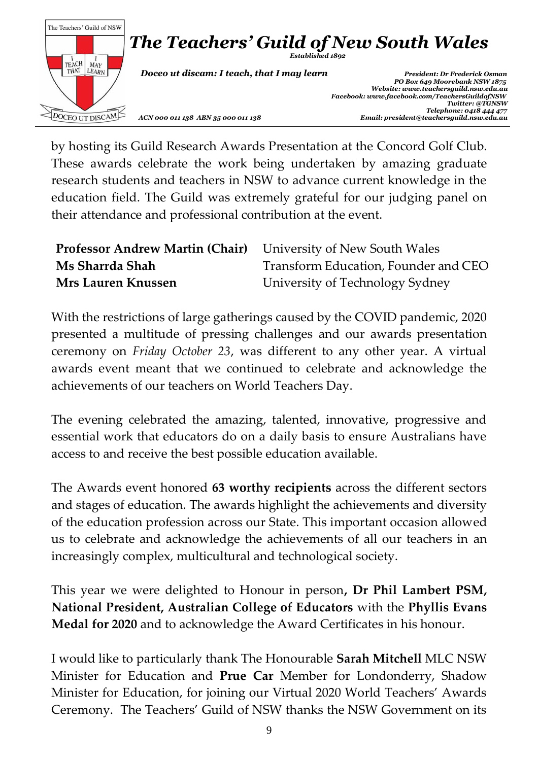

by hosting its Guild Research Awards Presentation at the Concord Golf Club. These awards celebrate the work being undertaken by amazing graduate research students and teachers in NSW to advance current knowledge in the education field. The Guild was extremely grateful for our judging panel on their attendance and professional contribution at the event.

| <b>Professor Andrew Martin (Chair)</b> University of New South Wales |                                      |
|----------------------------------------------------------------------|--------------------------------------|
| Ms Sharrda Shah                                                      | Transform Education, Founder and CEO |
| <b>Mrs Lauren Knussen</b>                                            | University of Technology Sydney      |

With the restrictions of large gatherings caused by the COVID pandemic, 2020 presented a multitude of pressing challenges and our awards presentation ceremony on *Friday October 23*, was different to any other year. A virtual awards event meant that we continued to celebrate and acknowledge the achievements of our teachers on World Teachers Day.

The evening celebrated the amazing, talented, innovative, progressive and essential work that educators do on a daily basis to ensure Australians have access to and receive the best possible education available.

The Awards event honored **63 worthy recipients** across the different sectors and stages of education. The awards highlight the achievements and diversity of the education profession across our State. This important occasion allowed us to celebrate and acknowledge the achievements of all our teachers in an increasingly complex, multicultural and technological society.

This year we were delighted to Honour in person**, Dr Phil Lambert PSM, National President, Australian College of Educators** with the **Phyllis Evans Medal for 2020** and to acknowledge the Award Certificates in his honour.

I would like to particularly thank The Honourable **Sarah Mitchell** MLC NSW Minister for Education and **Prue Car** Member for Londonderry, Shadow Minister for Education, for joining our Virtual 2020 World Teachers' Awards Ceremony. The Teachers' Guild of NSW thanks the NSW Government on its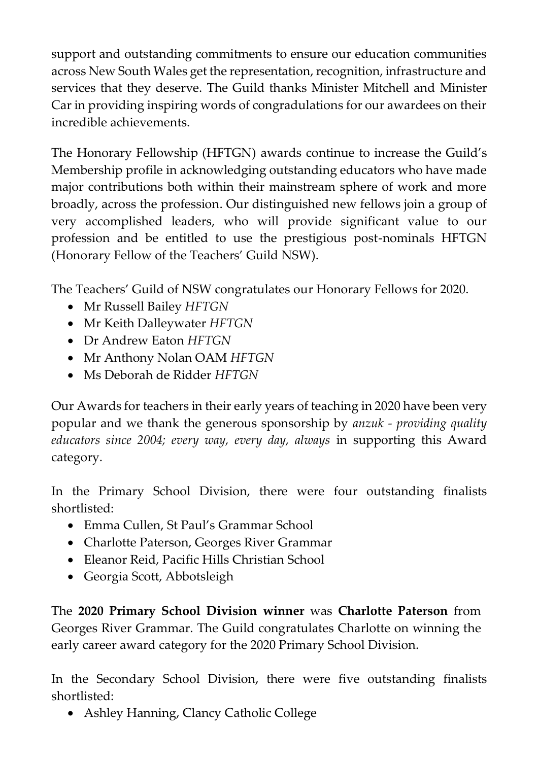support and outstanding commitments to ensure our education communities across New South Wales get the representation, recognition, infrastructure and services that they deserve. The Guild thanks Minister Mitchell and Minister Car in providing inspiring words of congradulations for our awardees on their incredible achievements.

The Honorary Fellowship (HFTGN) awards continue to increase the Guild's Membership profile in acknowledging outstanding educators who have made major contributions both within their mainstream sphere of work and more broadly, across the profession. Our distinguished new fellows join a group of very accomplished leaders, who will provide significant value to our profession and be entitled to use the prestigious post-nominals HFTGN (Honorary Fellow of the Teachers' Guild NSW).

The Teachers' Guild of NSW congratulates our Honorary Fellows for 2020.

- Mr Russell Bailey *HFTGN*
- Mr Keith Dalleywater *HFTGN*
- Dr Andrew Eaton *HFTGN*
- Mr Anthony Nolan OAM *HFTGN*
- Ms Deborah de Ridder *HFTGN*

Our Awards for teachers in their early years of teaching in 2020 have been very popular and we thank the generous sponsorship by *anzuk - providing quality educators since 2004; every way, every day, always* in supporting this Award category.

In the Primary School Division, there were four outstanding finalists shortlisted:

- Emma Cullen, St Paul's Grammar School
- Charlotte Paterson, Georges River Grammar
- Eleanor Reid, Pacific Hills Christian School
- Georgia Scott, Abbotsleigh

The **2020 Primary School Division winner** was **Charlotte Paterson** from Georges River Grammar. The Guild congratulates Charlotte on winning the early career award category for the 2020 Primary School Division.

In the Secondary School Division, there were five outstanding finalists shortlisted:

• Ashley Hanning, Clancy Catholic College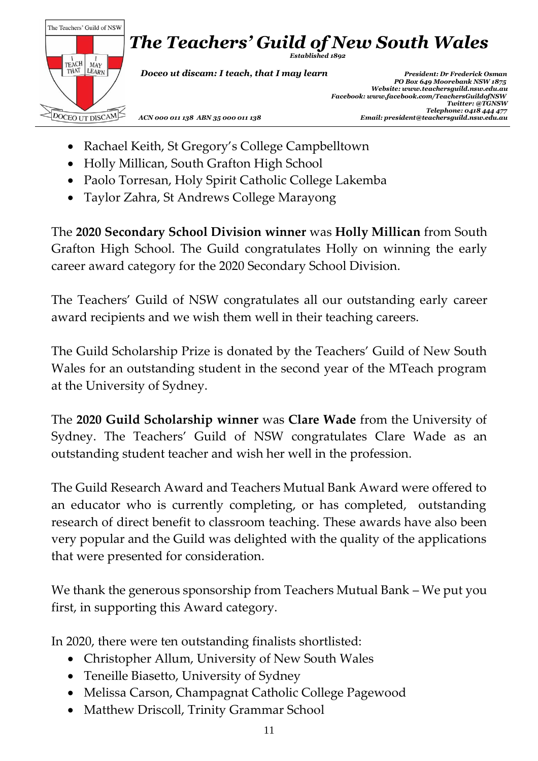

- Rachael Keith, St Gregory's College Campbelltown
- Holly Millican, South Grafton High School
- Paolo Torresan, Holy Spirit Catholic College Lakemba
- Taylor Zahra, St Andrews College Marayong

The **2020 Secondary School Division winner** was **Holly Millican** from South Grafton High School. The Guild congratulates Holly on winning the early career award category for the 2020 Secondary School Division.

The Teachers' Guild of NSW congratulates all our outstanding early career award recipients and we wish them well in their teaching careers.

The Guild Scholarship Prize is donated by the Teachers' Guild of New South Wales for an outstanding student in the second year of the MTeach program at the University of Sydney.

The **2020 Guild Scholarship winner** was **Clare Wade** from the University of Sydney. The Teachers' Guild of NSW congratulates Clare Wade as an outstanding student teacher and wish her well in the profession.

The Guild Research Award and Teachers Mutual Bank Award were offered to an educator who is currently completing, or has completed, outstanding research of direct benefit to classroom teaching. These awards have also been very popular and the Guild was delighted with the quality of the applications that were presented for consideration.

We thank the generous sponsorship from Teachers Mutual Bank – We put you first, in supporting this Award category.

In 2020, there were ten outstanding finalists shortlisted:

- Christopher Allum, University of New South Wales
- Teneille Biasetto, University of Sydney
- Melissa Carson, Champagnat Catholic College Pagewood
- Matthew Driscoll, Trinity Grammar School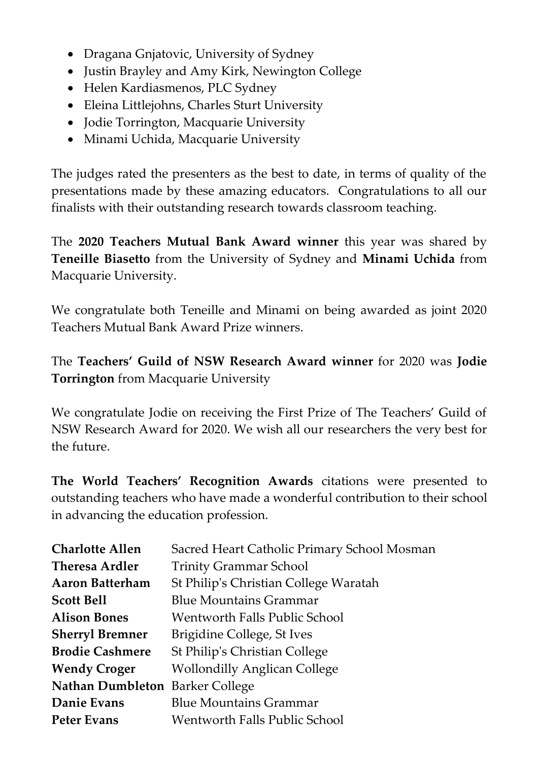- Dragana Gnjatovic, University of Sydney
- Justin Brayley and Amy Kirk, Newington College
- Helen Kardiasmenos, PLC Sydney
- Eleina Littlejohns, Charles Sturt University
- Jodie Torrington, Macquarie University
- Minami Uchida, Macquarie University

The judges rated the presenters as the best to date, in terms of quality of the presentations made by these amazing educators. Congratulations to all our finalists with their outstanding research towards classroom teaching.

The **2020 Teachers Mutual Bank Award winner** this year was shared by **Teneille Biasetto** from the University of Sydney and **Minami Uchida** from Macquarie University.

We congratulate both Teneille and Minami on being awarded as joint 2020 Teachers Mutual Bank Award Prize winners.

The **Teachers' Guild of NSW Research Award winner** for 2020 was **Jodie Torrington** from Macquarie University

We congratulate Jodie on receiving the First Prize of The Teachers' Guild of NSW Research Award for 2020. We wish all our researchers the very best for the future.

**The World Teachers' Recognition Awards** citations were presented to outstanding teachers who have made a wonderful contribution to their school in advancing the education profession.

| <b>Charlotte Allen</b>          | Sacred Heart Catholic Primary School Mosman |
|---------------------------------|---------------------------------------------|
| <b>Theresa Ardler</b>           | <b>Trinity Grammar School</b>               |
| <b>Aaron Batterham</b>          | St Philip's Christian College Waratah       |
| <b>Scott Bell</b>               | <b>Blue Mountains Grammar</b>               |
| <b>Alison Bones</b>             | Wentworth Falls Public School               |
| <b>Sherryl Bremner</b>          | Brigidine College, St Ives                  |
| <b>Brodie Cashmere</b>          | St Philip's Christian College               |
| <b>Wendy Croger</b>             | <b>Wollondilly Anglican College</b>         |
| Nathan Dumbleton Barker College |                                             |
| Danie Evans                     | <b>Blue Mountains Grammar</b>               |
| <b>Peter Evans</b>              | <b>Wentworth Falls Public School</b>        |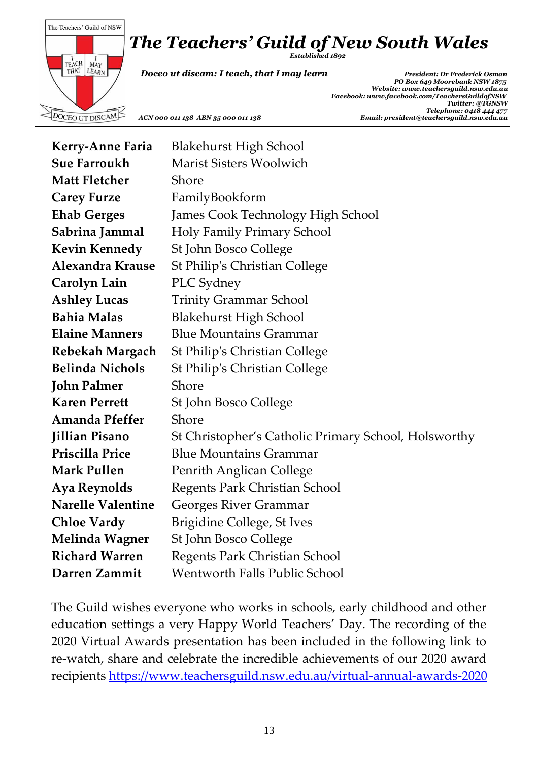# *The Teachers' Guild of New South Wales*



*Established 1892*

 *Doceo ut discam: I teach, that I may learn President: Dr Frederick Osman*

 *PO Box 649 Moorebank NSW 1875 Website[: www.teachersguild.nsw.edu.au](http://www.teachersguild.nsw.edu.au/) Facebook[: www.facebook.com/TeachersGuildofNSW](http://www.facebook.com/TeachersGuildofNSW) Twitter: @TGNSW Telephone: 0418 444 477 ACN 000 011 138 ABN 35 000 011 138 Email: president@teachersguild.nsw.edu.au*

| <b>Kerry-Anne Faria</b>  | <b>Blakehurst High School</b>                        |
|--------------------------|------------------------------------------------------|
| <b>Sue Farroukh</b>      | <b>Marist Sisters Woolwich</b>                       |
| <b>Matt Fletcher</b>     | Shore                                                |
| <b>Carey Furze</b>       | FamilyBookform                                       |
| <b>Ehab Gerges</b>       | James Cook Technology High School                    |
| Sabrina Jammal           | Holy Family Primary School                           |
| <b>Kevin Kennedy</b>     | St John Bosco College                                |
| Alexandra Krause         | <b>St Philip's Christian College</b>                 |
| Carolyn Lain             | PLC Sydney                                           |
| <b>Ashley Lucas</b>      | <b>Trinity Grammar School</b>                        |
| <b>Bahia Malas</b>       | <b>Blakehurst High School</b>                        |
| <b>Elaine Manners</b>    | <b>Blue Mountains Grammar</b>                        |
| Rebekah Margach          | <b>St Philip's Christian College</b>                 |
| <b>Belinda Nichols</b>   | <b>St Philip's Christian College</b>                 |
| <b>John Palmer</b>       | Shore                                                |
| <b>Karen Perrett</b>     | St John Bosco College                                |
| <b>Amanda Pfeffer</b>    | Shore                                                |
| <b>Jillian Pisano</b>    | St Christopher's Catholic Primary School, Holsworthy |
| Priscilla Price          | <b>Blue Mountains Grammar</b>                        |
| <b>Mark Pullen</b>       | Penrith Anglican College                             |
| <b>Aya Reynolds</b>      | Regents Park Christian School                        |
| <b>Narelle Valentine</b> | Georges River Grammar                                |
| <b>Chloe Vardy</b>       | <b>Brigidine College, St Ives</b>                    |
| <b>Melinda Wagner</b>    | St John Bosco College                                |
| <b>Richard Warren</b>    | Regents Park Christian School                        |
| Darren Zammit            | <b>Wentworth Falls Public School</b>                 |

The Guild wishes everyone who works in schools, early childhood and other education settings a very Happy World Teachers' Day. The recording of the 2020 Virtual Awards presentation has been included in the following link to re-watch, share and celebrate the incredible achievements of our 2020 award recipients <https://www.teachersguild.nsw.edu.au/virtual-annual-awards-2020>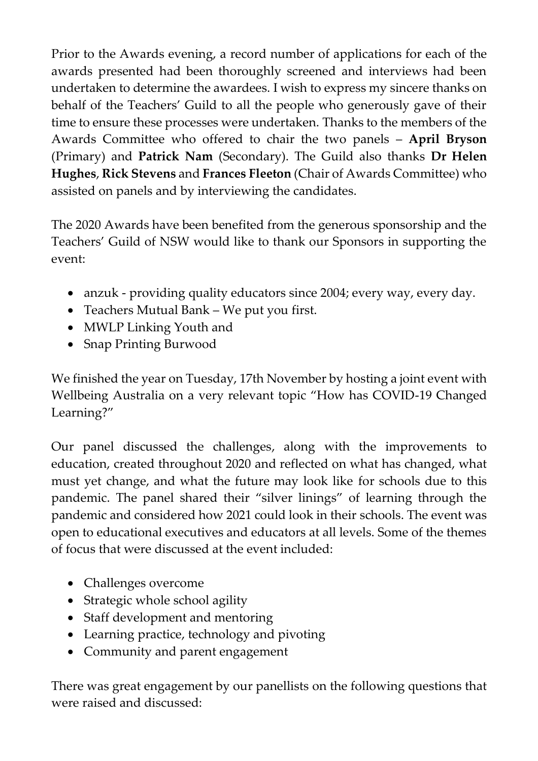Prior to the Awards evening, a record number of applications for each of the awards presented had been thoroughly screened and interviews had been undertaken to determine the awardees. I wish to express my sincere thanks on behalf of the Teachers' Guild to all the people who generously gave of their time to ensure these processes were undertaken. Thanks to the members of the Awards Committee who offered to chair the two panels – **April Bryson** (Primary) and **Patrick Nam** (Secondary). The Guild also thanks **Dr Helen Hughes**, **Rick Stevens** and **Frances Fleeton** (Chair of Awards Committee) who assisted on panels and by interviewing the candidates.

The 2020 Awards have been benefited from the generous sponsorship and the Teachers' Guild of NSW would like to thank our Sponsors in supporting the event:

- anzuk providing quality educators since 2004; every way, every day.
- Teachers Mutual Bank We put you first.
- MWLP Linking Youth and
- Snap Printing Burwood

We finished the year on Tuesday, 17th November by hosting a joint event with Wellbeing Australia on a very relevant topic "How has COVID-19 Changed Learning?"

Our panel discussed the challenges, along with the improvements to education, created throughout 2020 and reflected on what has changed, what must yet change, and what the future may look like for schools due to this pandemic. The panel shared their "silver linings" of learning through the pandemic and considered how 2021 could look in their schools. The event was open to educational executives and educators at all levels. Some of the themes of focus that were discussed at the event included:

- Challenges overcome
- Strategic whole school agility
- Staff development and mentoring
- Learning practice, technology and pivoting
- Community and parent engagement

There was great engagement by our panellists on the following questions that were raised and discussed: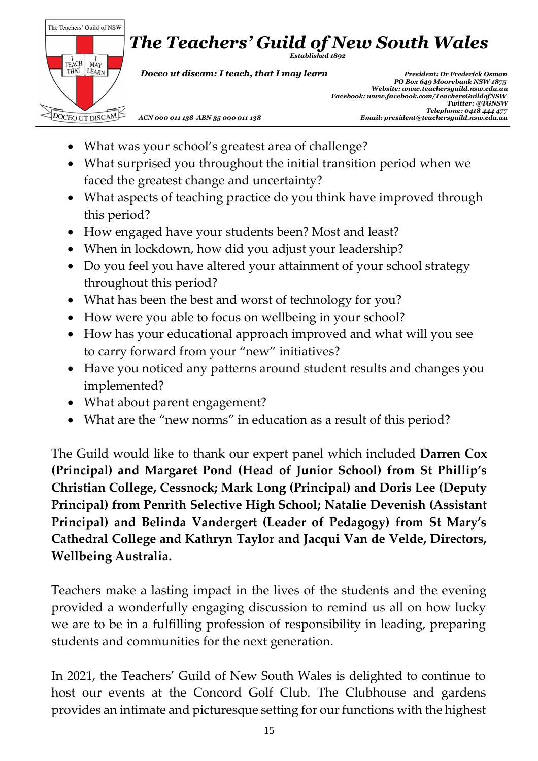

- What was your school's greatest area of challenge?
- What surprised you throughout the initial transition period when we faced the greatest change and uncertainty?
- What aspects of teaching practice do you think have improved through this period?
- How engaged have your students been? Most and least?
- When in lockdown, how did you adjust your leadership?
- Do you feel you have altered your attainment of your school strategy throughout this period?
- What has been the best and worst of technology for you?
- How were you able to focus on wellbeing in your school?
- How has your educational approach improved and what will you see to carry forward from your "new" initiatives?
- Have you noticed any patterns around student results and changes you implemented?
- What about parent engagement?
- What are the "new norms" in education as a result of this period?

The Guild would like to thank our expert panel which included **Darren Cox (Principal) and Margaret Pond (Head of Junior School) from St Phillip's Christian College, Cessnock; Mark Long (Principal) and Doris Lee (Deputy Principal) from Penrith Selective High School; Natalie Devenish (Assistant Principal) and Belinda Vandergert (Leader of Pedagogy) from St Mary's Cathedral College and Kathryn Taylor and Jacqui Van de Velde, Directors, Wellbeing Australia.**

Teachers make a lasting impact in the lives of the students and the evening provided a wonderfully engaging discussion to remind us all on how lucky we are to be in a fulfilling profession of responsibility in leading, preparing students and communities for the next generation.

In 2021, the Teachers' Guild of New South Wales is delighted to continue to host our events at the Concord Golf Club. The Clubhouse and gardens provides an intimate and picturesque setting for our functions with the highest